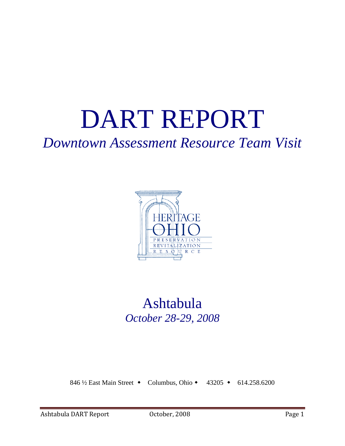# DART REPORT

# *Downtown Assessment Resource Team Visit*



# Ashtabula *October 28-29, 2008*

846 ½ East Main Street • Columbus, Ohio • 43205 • 614.258.6200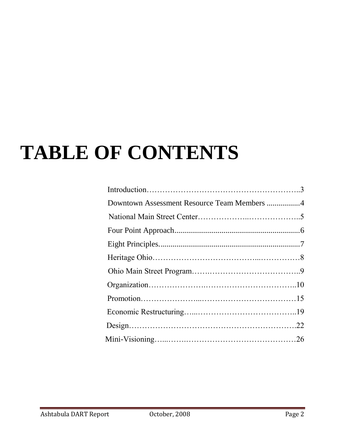# **TABLE OF CONTENTS**

| Downtown Assessment Resource Team Members 4 |  |
|---------------------------------------------|--|
|                                             |  |
|                                             |  |
|                                             |  |
|                                             |  |
|                                             |  |
|                                             |  |
|                                             |  |
|                                             |  |
|                                             |  |
|                                             |  |
|                                             |  |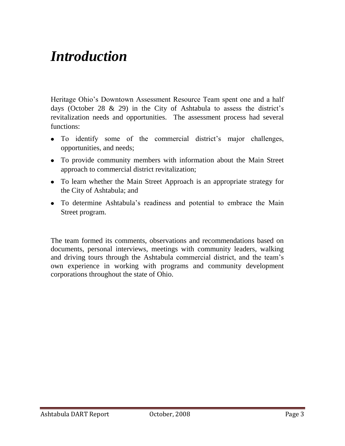# *Introduction*

Heritage Ohio's Downtown Assessment Resource Team spent one and a half days (October 28  $\&$  29) in the City of Ashtabula to assess the district's revitalization needs and opportunities. The assessment process had several functions:

- To identify some of the commercial district's major challenges, opportunities, and needs;
- To provide community members with information about the Main Street approach to commercial district revitalization;
- To learn whether the Main Street Approach is an appropriate strategy for the City of Ashtabula; and
- To determine Ashtabula"s readiness and potential to embrace the Main Street program.

The team formed its comments, observations and recommendations based on documents, personal interviews, meetings with community leaders, walking and driving tours through the Ashtabula commercial district, and the team"s own experience in working with programs and community development corporations throughout the state of Ohio.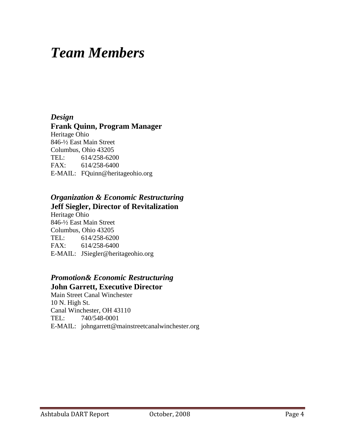# *Team Members*

# *Design*

# **Frank Quinn, Program Manager**

Heritage Ohio 846-½ East Main Street Columbus, Ohio 43205 TEL: 614/258-6200 FAX: 614/258-6400 E-MAIL: FQuinn@heritageohio.org

# *Organization & Economic Restructuring* **Jeff Siegler, Director of Revitalization**

Heritage Ohio 846-½ East Main Street Columbus, Ohio 43205 TEL: 614/258-6200 FAX: 614/258-6400 E-MAIL: JSiegler@heritageohio.org

# *Promotion& Economic Restructuring*

**John Garrett, Executive Director** Main Street Canal Winchester 10 N. High St. Canal Winchester, OH 43110 TEL: 740/548-0001 E-MAIL: johngarrett@mainstreetcanalwinchester.org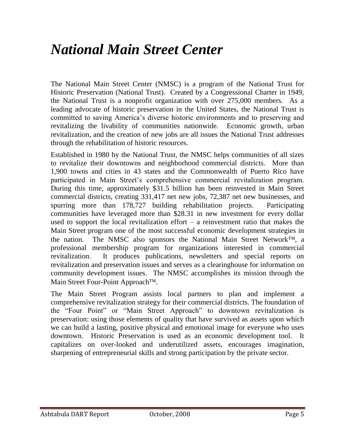# *National Main Street Center*

The National Main Street Center (NMSC) is a program of the National Trust for Historic Preservation (National Trust). Created by a Congressional Charter in 1949, the National Trust is a nonprofit organization with over 275,000 members. As a leading advocate of historic preservation in the United States, the National Trust is committed to saving America"s diverse historic environments and to preserving and revitalizing the livability of communities nationwide. Economic growth, urban revitalization, and the creation of new jobs are all issues the National Trust addresses through the rehabilitation of historic resources.

Established in 1980 by the National Trust, the NMSC helps communities of all sizes to revitalize their downtowns and neighborhood commercial districts. More than 1,900 towns and cities in 43 states and the Commonwealth of Puerto Rico have participated in Main Street"s comprehensive commercial revitalization program. During this time, approximately \$31.5 billion has been reinvested in Main Street commercial districts, creating 331,417 net new jobs, 72,387 net new businesses, and spurring more than 178,727 building rehabilitation projects. Participating communities have leveraged more than \$28.31 in new investment for every dollar used to support the local revitalization effort  $-$  a reinvestment ratio that makes the Main Street program one of the most successful economic development strategies in the nation. The NMSC also sponsors the National Main Street Network<sup>TM</sup>, a professional membership program for organizations interested in commercial revitalization. It produces publications, newsletters and special reports on revitalization and preservation issues and serves as a clearinghouse for information on community development issues. The NMSC accomplishes its mission through the Main Street Four-Point Approach<sup>TM</sup>.

The Main Street Program assists local partners to plan and implement a comprehensive revitalization strategy for their commercial districts. The foundation of the "Four Point" or "Main Street Approach" to downtown revitalization is preservation: using those elements of quality that have survived as assets upon which we can build a lasting, positive physical and emotional image for everyone who uses downtown. Historic Preservation is used as an economic development tool. It capitalizes on over-looked and underutilized assets, encourages imagination, sharpening of entrepreneurial skills and strong participation by the private sector.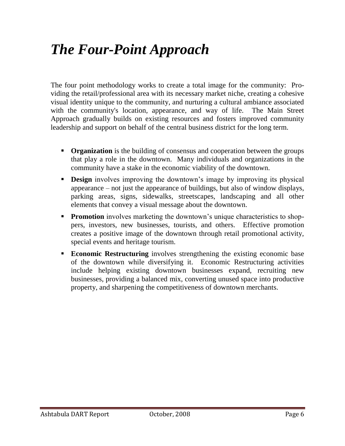# *The Four-Point Approach*

The four point methodology works to create a total image for the community: Providing the retail/professional area with its necessary market niche, creating a cohesive visual identity unique to the community, and nurturing a cultural ambiance associated with the community's location, appearance, and way of life. The Main Street Approach gradually builds on existing resources and fosters improved community leadership and support on behalf of the central business district for the long term.

- **Organization** is the building of consensus and cooperation between the groups that play a role in the downtown. Many individuals and organizations in the community have a stake in the economic viability of the downtown.
- **Design** involves improving the downtown's image by improving its physical appearance – not just the appearance of buildings, but also of window displays, parking areas, signs, sidewalks, streetscapes, landscaping and all other elements that convey a visual message about the downtown.
- **Promotion** involves marketing the downtown's unique characteristics to shoppers, investors, new businesses, tourists, and others. Effective promotion creates a positive image of the downtown through retail promotional activity, special events and heritage tourism.
- **Economic Restructuring** involves strengthening the existing economic base of the downtown while diversifying it. Economic Restructuring activities include helping existing downtown businesses expand, recruiting new businesses, providing a balanced mix, converting unused space into productive property, and sharpening the competitiveness of downtown merchants.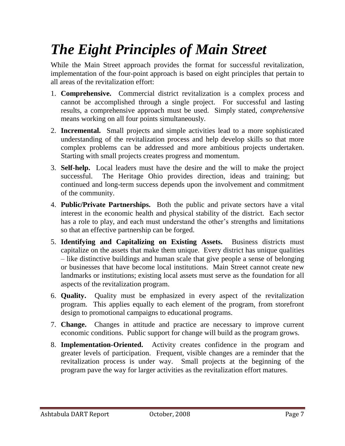# *The Eight Principles of Main Street*

While the Main Street approach provides the format for successful revitalization, implementation of the four-point approach is based on eight principles that pertain to all areas of the revitalization effort:

- 1. **Comprehensive.** Commercial district revitalization is a complex process and cannot be accomplished through a single project. For successful and lasting results, a comprehensive approach must be used. Simply stated, *comprehensive* means working on all four points simultaneously.
- 2. **Incremental.** Small projects and simple activities lead to a more sophisticated understanding of the revitalization process and help develop skills so that more complex problems can be addressed and more ambitious projects undertaken. Starting with small projects creates progress and momentum.
- 3. **Self-help.** Local leaders must have the desire and the will to make the project successful. The Heritage Ohio provides direction, ideas and training; but continued and long-term success depends upon the involvement and commitment of the community.
- 4. **Public/Private Partnerships.** Both the public and private sectors have a vital interest in the economic health and physical stability of the district. Each sector has a role to play, and each must understand the other's strengths and limitations so that an effective partnership can be forged.
- 5. **Identifying and Capitalizing on Existing Assets.** Business districts must capitalize on the assets that make them unique. Every district has unique qualities – like distinctive buildings and human scale that give people a sense of belonging or businesses that have become local institutions. Main Street cannot create new landmarks or institutions; existing local assets must serve as the foundation for all aspects of the revitalization program.
- 6. **Quality.** Quality must be emphasized in every aspect of the revitalization program. This applies equally to each element of the program, from storefront design to promotional campaigns to educational programs.
- 7. **Change.** Changes in attitude and practice are necessary to improve current economic conditions. Public support for change will build as the program grows.
- 8. **Implementation-Oriented.** Activity creates confidence in the program and greater levels of participation. Frequent, visible changes are a reminder that the revitalization process is under way. Small projects at the beginning of the program pave the way for larger activities as the revitalization effort matures.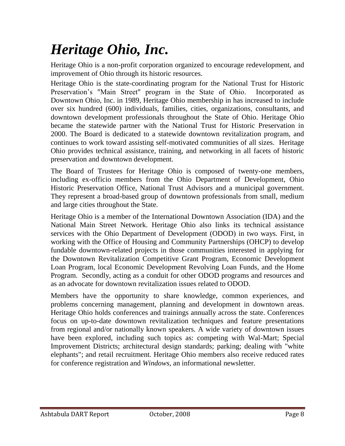# *Heritage Ohio, Inc.*

Heritage Ohio is a non-profit corporation organized to encourage redevelopment, and improvement of Ohio through its historic resources.

Heritage Ohio is the state-coordinating program for the National Trust for Historic Preservation's "Main Street" program in the State of Ohio. Incorporated as Downtown Ohio, Inc. in 1989, Heritage Ohio membership in has increased to include over six hundred (600) individuals, families, cities, organizations, consultants, and downtown development professionals throughout the State of Ohio. Heritage Ohio became the statewide partner with the National Trust for Historic Preservation in 2000. The Board is dedicated to a statewide downtown revitalization program, and continues to work toward assisting self-motivated communities of all sizes. Heritage Ohio provides technical assistance, training, and networking in all facets of historic preservation and downtown development.

The Board of Trustees for Heritage Ohio is composed of twenty-one members, including ex-officio members from the Ohio Department of Development, Ohio Historic Preservation Office, National Trust Advisors and a municipal government. They represent a broad-based group of downtown professionals from small, medium and large cities throughout the State.

Heritage Ohio is a member of the International Downtown Association (IDA) and the National Main Street Network. Heritage Ohio also links its technical assistance services with the Ohio Department of Development (ODOD) in two ways. First, in working with the Office of Housing and Community Partnerships (OHCP) to develop fundable downtown-related projects in those communities interested in applying for the Downtown Revitalization Competitive Grant Program, Economic Development Loan Program, local Economic Development Revolving Loan Funds, and the Home Program. Secondly, acting as a conduit for other ODOD programs and resources and as an advocate for downtown revitalization issues related to ODOD.

Members have the opportunity to share knowledge, common experiences, and problems concerning management, planning and development in downtown areas. Heritage Ohio holds conferences and trainings annually across the state. Conferences focus on up-to-date downtown revitalization techniques and feature presentations from regional and/or nationally known speakers. A wide variety of downtown issues have been explored, including such topics as: competing with Wal-Mart; Special Improvement Districts; architectural design standards; parking; dealing with "white elephants"; and retail recruitment. Heritage Ohio members also receive reduced rates for conference registration and *Windows*, an informational newsletter.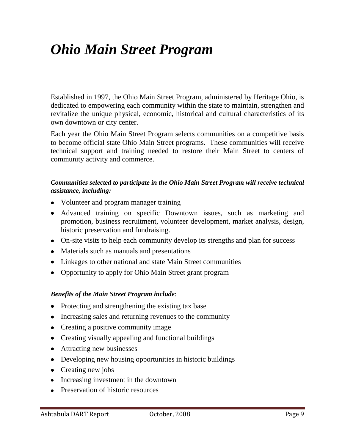# *Ohio Main Street Program*

Established in 1997, the Ohio Main Street Program, administered by Heritage Ohio, is dedicated to empowering each community within the state to maintain, strengthen and revitalize the unique physical, economic, historical and cultural characteristics of its own downtown or city center.

Each year the Ohio Main Street Program selects communities on a competitive basis to become official state Ohio Main Street programs. These communities will receive technical support and training needed to restore their Main Street to centers of community activity and commerce.

# *Communities selected to participate in the Ohio Main Street Program will receive technical assistance, including:*

- Volunteer and program manager training
- Advanced training on specific Downtown issues, such as marketing and promotion, business recruitment, volunteer development, market analysis, design, historic preservation and fundraising.
- On-site visits to help each community develop its strengths and plan for success
- Materials such as manuals and presentations
- Linkages to other national and state Main Street communities
- Opportunity to apply for Ohio Main Street grant program

### *Benefits of the Main Street Program include*:

- Protecting and strengthening the existing tax base
- Increasing sales and returning revenues to the community
- Creating a positive community image
- Creating visually appealing and functional buildings
- Attracting new businesses
- Developing new housing opportunities in historic buildings
- Creating new jobs
- Increasing investment in the downtown
- Preservation of historic resources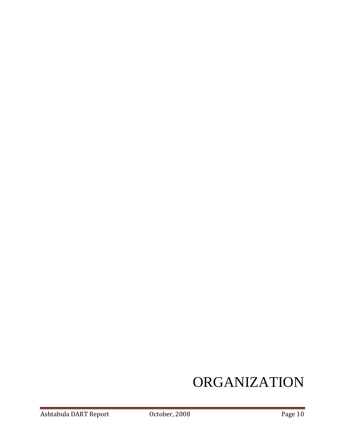# ORGANIZATION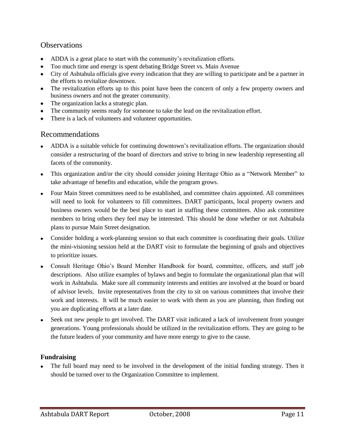# **Observations**

- ADDA is a great place to start with the community's revitalization efforts.
- Too much time and energy is spent debating Bridge Street vs. Main Avenue
- City of Ashtabula officials give every indication that they are willing to participate and be a partner in the efforts to revitalize downtown.
- The revitalization efforts up to this point have been the concern of only a few property owners and business owners and not the greater community.
- The organization lacks a strategic plan.
- The community seems ready for someone to take the lead on the revitalization effort.
- There is a lack of volunteers and volunteer opportunities.

# Recommendations

- ADDA is a suitable vehicle for continuing downtown's revitalization efforts. The organization should consider a restructuring of the board of directors and strive to bring in new leadership representing all facets of the community.
- This organization and/or the city should consider joining Heritage Ohio as a "Network Member" to take advantage of benefits and education, while the program grows.
- Four Main Street committees need to be established, and committee chairs appointed. All committees will need to look for volunteers to fill committees. DART participants, local property owners and business owners would be the best place to start in staffing these committees. Also ask committee members to bring others they feel may be interested. This should be done whether or not Ashtabula plans to pursue Main Street designation.
- Consider holding a work-planning session so that each committee is coordinating their goals. Utilize the mini-visioning session held at the DART visit to formulate the beginning of goals and objectives to prioritize issues.
- Consult Heritage Ohio"s Board Member Handbook for board, committee, officers, and staff job descriptions. Also utilize examples of bylaws and begin to formulate the organizational plan that will work in Ashtabula. Make sure all community interests and entities are involved at the board or board of advisor levels. Invite representatives from the city to sit on various committees that involve their work and interests. It will be much easier to work with them as you are planning, than finding out you are duplicating efforts at a later date.
- Seek out new people to get involved. The DART visit indicated a lack of involvement from younger generations. Young professionals should be utilized in the revitalization efforts. They are going to be the future leaders of your community and have more energy to give to the cause.

### **Fundraising**

The full board may need to be involved in the development of the initial funding strategy. Then it should be turned over to the Organization Committee to implement.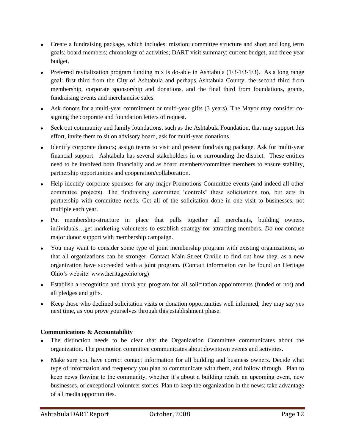- Create a fundraising package, which includes: mission; committee structure and short and long term goals; board members; chronology of activities; DART visit summary; current budget, and three year budget.
- Preferred revitalization program funding mix is do-able in Ashtabula  $(1/3-1/3-1/3)$ . As a long range goal: first third from the City of Ashtabula and perhaps Ashtabula County, the second third from membership, corporate sponsorship and donations, and the final third from foundations, grants, fundraising events and merchandise sales.
- Ask donors for a multi-year commitment or multi-year gifts (3 years). The Mayor may consider cosigning the corporate and foundation letters of request.
- Seek out community and family foundations, such as the Ashtabula Foundation, that may support this effort, invite them to sit on advisory board, ask for multi-year donations.
- Identify corporate donors; assign teams to visit and present fundraising package. Ask for multi-year financial support. Ashtabula has several stakeholders in or surrounding the district. These entities need to be involved both financially and as board members/committee members to ensure stability, partnership opportunities and cooperation/collaboration.
- Help identify corporate sponsors for any major Promotions Committee events (and indeed all other committee projects). The fundraising committee "controls" these solicitations too, but acts in partnership with committee needs. Get all of the solicitation done in one visit to businesses, not multiple each year.
- Put membership-structure in place that pulls together all merchants, building owners, individuals…get marketing volunteers to establish strategy for attracting members. *Do not* confuse major donor support with membership campaign.
- You may want to consider some type of joint membership program with existing organizations, so that all organizations can be stronger. Contact Main Street Orville to find out how they, as a new organization have succeeded with a joint program. (Contact information can be found on Heritage Ohio"s website: www.heritageohio.org)
- Establish a recognition and thank you program for all solicitation appointments (funded or not) and all pledges and gifts.
- Keep those who declined solicitation visits or donation opportunities well informed, they may say yes next time, as you prove yourselves through this establishment phase.

### **Communications & Accountability**

- The distinction needs to be clear that the Organization Committee communicates about the organization. The promotion committee communicates about downtown events and activities.
- Make sure you have correct contact information for all building and business owners. Decide what type of information and frequency you plan to communicate with them, and follow through. Plan to keep news flowing to the community, whether it's about a building rehab, an upcoming event, new businesses, or exceptional volunteer stories. Plan to keep the organization in the news; take advantage of all media opportunities.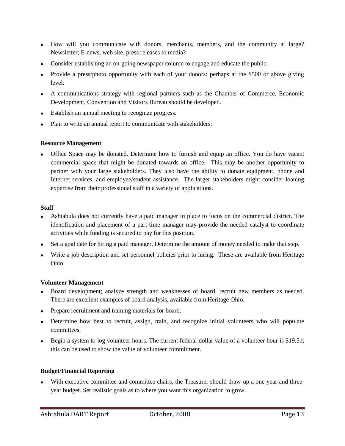- How will you communicate with donors, merchants, members, and the community at large? Newsletter; E-news, web site, press releases to media?
- Consider establishing an on-going newspaper column to engage and educate the public.
- Provide a press/photo opportunity with each of your donors: perhaps at the \$500 or above giving level.
- A communications strategy with regional partners such as the Chamber of Commerce, Economic Development, Convention and Visitors Bureau should be developed.
- Establish an annual meeting to recognize progress.
- Plan to write an annual report to communicate with stakeholders.  $\bullet$

### **Resource Management**

Office Space may be donated. Determine how to furnish and equip an office. You do have vacant commercial space that might be donated towards an office. This may be another opportunity to partner with your large stakeholders. They also have the ability to donate equipment, phone and Internet services, and employee/student assistance. The larger stakeholders might consider loaning expertise from their professional staff in a variety of applications.

#### **Staff**

- Ashtabula does not currently have a paid manager in place to focus on the commercial district. The identification and placement of a part-time manager may provide the needed catalyst to coordinate activities while funding is secured to pay for this position.
- Set a goal date for hiring a paid manager. Determine the amount of money needed to make that step.
- Write a job description and set personnel policies prior to hiring. These are available from Heritage Ohio.

### **Volunteer Management**

- Board development; analyze strength and weaknesses of board, recruit new members as needed. There are excellent examples of board analysis, available from Heritage Ohio.
- Prepare recruitment and training materials for board.
- Determine how best to recruit, assign, train, and recognize initial volunteers who will populate committees.
- Begin a system to log volunteer hours. The current federal dollar value of a volunteer hour is \$19.51; this can be used to show the value of volunteer commitment.

### **Budget/Financial Reporting**

With executive committee and committee chairs, the Treasurer should draw-up a one-year and threeyear budget. Set realistic goals as to where you want this organization to grow.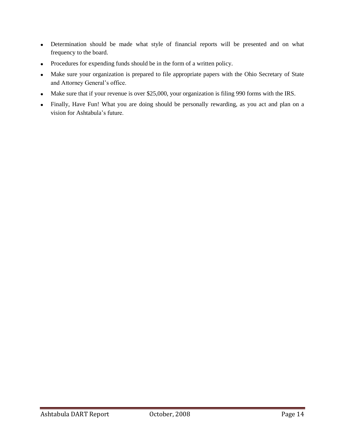- Determination should be made what style of financial reports will be presented and on what frequency to the board.
- Procedures for expending funds should be in the form of a written policy.  $\bullet$
- Make sure your organization is prepared to file appropriate papers with the Ohio Secretary of State  $\bullet$ and Attorney General's office.
- Make sure that if your revenue is over \$25,000, your organization is filing 990 forms with the IRS.  $\bullet$
- Finally, Have Fun! What you are doing should be personally rewarding, as you act and plan on a  $\bullet$ vision for Ashtabula"s future.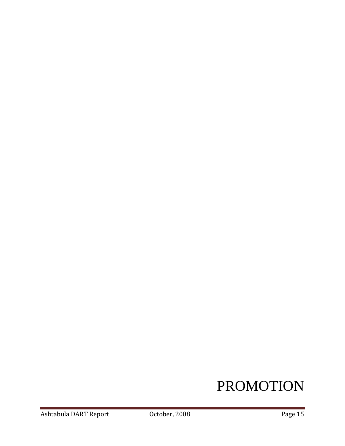# PROMOTION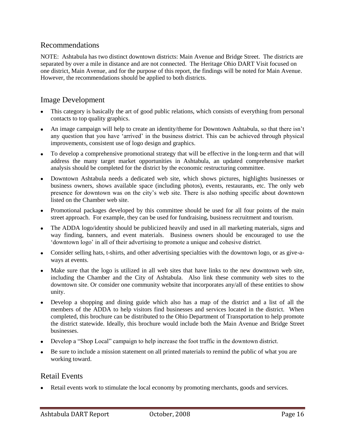# Recommendations

NOTE: Ashtabula has two distinct downtown districts: Main Avenue and Bridge Street. The districts are separated by over a mile in distance and are not connected. The Heritage Ohio DART Visit focused on one district, Main Avenue, and for the purpose of this report, the findings will be noted for Main Avenue. However, the recommendations should be applied to both districts.

# Image Development

- This category is basically the art of good public relations, which consists of everything from personal contacts to top quality graphics.
- An image campaign will help to create an identity/theme for Downtown Ashtabula, so that there isn't any question that you have "arrived" in the business district. This can be achieved through physical improvements, consistent use of logo design and graphics.
- To develop a comprehensive promotional strategy that will be effective in the long-term and that will address the many target market opportunities in Ashtabula, an updated comprehensive market analysis should be completed for the district by the economic restructuring committee.
- Downtown Ashtabula needs a dedicated web site, which shows pictures, highlights businesses or business owners, shows available space (including photos), events, restaurants, etc. The only web presence for downtown was on the city"s web site. There is also nothing specific about downtown listed on the Chamber web site.
- Promotional packages developed by this committee should be used for all four points of the main street approach. For example, they can be used for fundraising, business recruitment and tourism.
- The ADDA logo/identity should be publicized heavily and used in all marketing materials, signs and way finding, banners, and event materials. Business owners should be encouraged to use the "downtown logo" in all of their advertising to promote a unique and cohesive district.
- Consider selling hats, t-shirts, and other advertising specialties with the downtown logo, or as give-aways at events.
- Make sure that the logo is utilized in all web sites that have links to the new downtown web site, including the Chamber and the City of Ashtabula. Also link these community web sites to the downtown site. Or consider one community website that incorporates any/all of these entities to show unity.
- Develop a shopping and dining guide which also has a map of the district and a list of all the members of the ADDA to help visitors find businesses and services located in the district. When completed, this brochure can be distributed to the Ohio Department of Transportation to help promote the district statewide. Ideally, this brochure would include both the Main Avenue and Bridge Street businesses.
- Develop a "Shop Local" campaign to help increase the foot traffic in the downtown district.
- Be sure to include a mission statement on all printed materials to remind the public of what you are working toward.

# Retail Events

Retail events work to stimulate the local economy by promoting merchants, goods and services.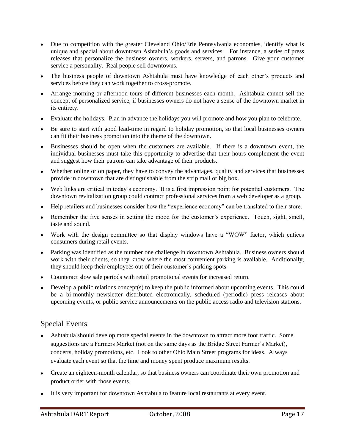- Due to competition with the greater Cleveland Ohio/Erie Pennsylvania economies, identify what is unique and special about downtown Ashtabula"s goods and services. For instance, a series of press releases that personalize the business owners, workers, servers, and patrons. Give your customer service a personality. Real people sell downtowns.
- The business people of downtown Ashtabula must have knowledge of each other"s products and services before they can work together to cross-promote.
- Arrange morning or afternoon tours of different businesses each month. Ashtabula cannot sell the concept of personalized service, if businesses owners do not have a sense of the downtown market in its entirety.
- Evaluate the holidays. Plan in advance the holidays you will promote and how you plan to celebrate.
- Be sure to start with good lead-time in regard to holiday promotion, so that local businesses owners can fit their business promotion into the theme of the downtown.
- Businesses should be open when the customers are available. If there is a downtown event, the individual businesses must take this opportunity to advertise that their hours complement the event and suggest how their patrons can take advantage of their products.
- Whether online or on paper, they have to convey the advantages, quality and services that businesses provide in downtown that are distinguishable from the strip mall or big box.
- Web links are critical in today's economy. It is a first impression point for potential customers. The downtown revitalization group could contract professional services from a web developer as a group.
- Help retailers and businesses consider how the "experience economy" can be translated to their store.
- Remember the five senses in setting the mood for the customer's experience. Touch, sight, smell,  $\bullet$ taste and sound.
- Work with the design committee so that display windows have a "WOW" factor, which entices consumers during retail events.
- Parking was identified as the number one challenge in downtown Ashtabula. Business owners should work with their clients, so they know where the most convenient parking is available. Additionally, they should keep their employees out of their customer's parking spots.
- Counteract slow sale periods with retail promotional events for increased return.
- Develop a public relations concept(s) to keep the public informed about upcoming events. This could be a bi-monthly newsletter distributed electronically, scheduled (periodic) press releases about upcoming events, or public service announcements on the public access radio and television stations.

# Special Events

- Ashtabula should develop more special events in the downtown to attract more foot traffic. Some suggestions are a Farmers Market (not on the same days as the Bridge Street Farmer"s Market), concerts, holiday promotions, etc. Look to other Ohio Main Street programs for ideas. Always evaluate each event so that the time and money spent produce maximum results.
- Create an eighteen-month calendar, so that business owners can coordinate their own promotion and product order with those events.
- It is very important for downtown Ashtabula to feature local restaurants at every event.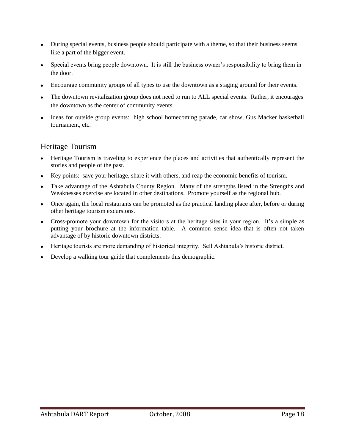- During special events, business people should participate with a theme, so that their business seems like a part of the bigger event.
- Special events bring people downtown. It is still the business owner"s responsibility to bring them in the door.
- Encourage community groups of all types to use the downtown as a staging ground for their events.
- The downtown revitalization group does not need to run to ALL special events. Rather, it encourages the downtown as the center of community events.
- Ideas for outside group events: high school homecoming parade, car show, Gus Macker basketball tournament, etc.

# Heritage Tourism

- Heritage Tourism is traveling to experience the places and activities that authentically represent the stories and people of the past.
- Key points: save your heritage, share it with others, and reap the economic benefits of tourism.
- Take advantage of the Ashtabula County Region. Many of the strengths listed in the Strengths and Weaknesses exercise are located in other destinations. Promote yourself as the regional hub.
- Once again, the local restaurants can be promoted as the practical landing place after, before or during other heritage tourism excursions.
- Cross-promote your downtown for the visitors at the heritage sites in your region. It's a simple as putting your brochure at the information table. A common sense idea that is often not taken advantage of by historic downtown districts.
- Heritage tourists are more demanding of historical integrity. Sell Ashtabula"s historic district.
- Develop a walking tour guide that complements this demographic.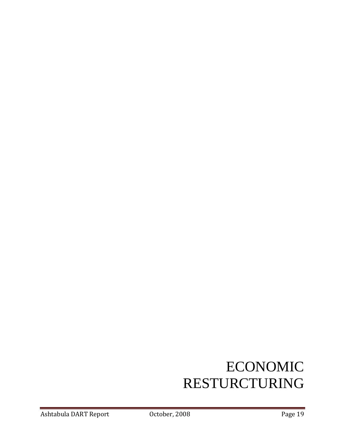# ECONOMIC RESTURCTURING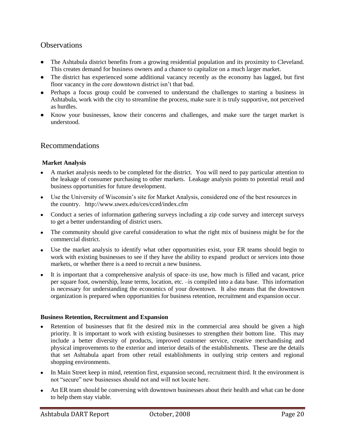# **Observations**

- The Ashtabula district benefits from a growing residential population and its proximity to Cleveland. This creates demand for business owners and a chance to capitalize on a much larger market.
- The district has experienced some additional vacancy recently as the economy has lagged, but first floor vacancy in the core downtown district isn"t that bad.
- Perhaps a focus group could be convened to understand the challenges to starting a business in Ashtabula, work with the city to streamline the process, make sure it is truly supportive, not perceived as hurdles.
- Know your businesses, know their concerns and challenges, and make sure the target market is understood.

### Recommendations

### **Market Analysis**

- A market analysis needs to be completed for the district. You will need to pay particular attention to the leakage of consumer purchasing to other markets. Leakage analysis points to potential retail and business opportunities for future development.
- Use the University of Wisconsin"s site for Market Analysis, considered one of the best resources in the country. http://www.uwex.edu/ces/cced/index.cfm
- Conduct a series of information gathering surveys including a zip code survey and intercept surveys to get a better understanding of district users.
- The community should give careful consideration to what the right mix of business might be for the commercial district.
- Use the market analysis to identify what other opportunities exist, your ER teams should begin to work with existing businesses to see if they have the ability to expand product or services into those markets, or whether there is a need to recruit a new business.
- It is important that a comprehensive analysis of space–its use, how much is filled and vacant, price per square foot, ownership, lease terms, location, etc. –is compiled into a data base. This information is necessary for understanding the economics of your downtown. It also means that the downtown organization is prepared when opportunities for business retention, recruitment and expansion occur.

#### **Business Retention, Recruitment and Expansion**

- Retention of businesses that fit the desired mix in the commercial area should be given a high priority. It is important to work with existing businesses to strengthen their bottom line. This may include a better diversity of products, improved customer service, creative merchandising and physical improvements to the exterior and interior details of the establishments. These are the details that set Ashtabula apart from other retail establishments in outlying strip centers and regional shopping environments.
- In Main Street keep in mind, retention first, expansion second, recruitment third. It the environment is not "secure" new businesses should not and will not locate here.
- An ER team should be conversing with downtown businesses about their health and what can be done to help them stay viable.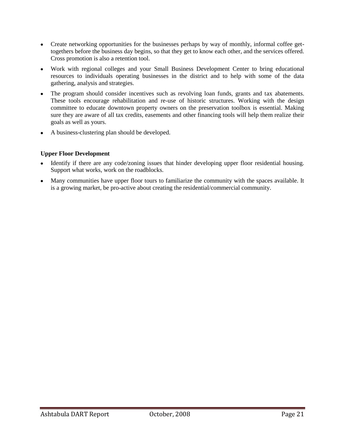- Create networking opportunities for the businesses perhaps by way of monthly, informal coffee gettogethers before the business day begins, so that they get to know each other, and the services offered. Cross promotion is also a retention tool.
- Work with regional colleges and your Small Business Development Center to bring educational resources to individuals operating businesses in the district and to help with some of the data gathering, analysis and strategies.
- The program should consider incentives such as revolving loan funds, grants and tax abatements. These tools encourage rehabilitation and re-use of historic structures. Working with the design committee to educate downtown property owners on the preservation toolbox is essential. Making sure they are aware of all tax credits, easements and other financing tools will help them realize their goals as well as yours.
- A business-clustering plan should be developed.

### **Upper Floor Development**

- Identify if there are any code/zoning issues that hinder developing upper floor residential housing. Support what works, work on the roadblocks.
- Many communities have upper floor tours to familiarize the community with the spaces available. It is a growing market, be pro-active about creating the residential/commercial community.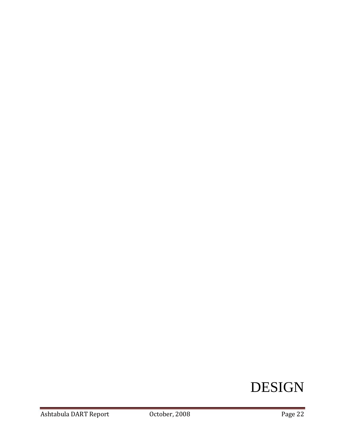# DESIGN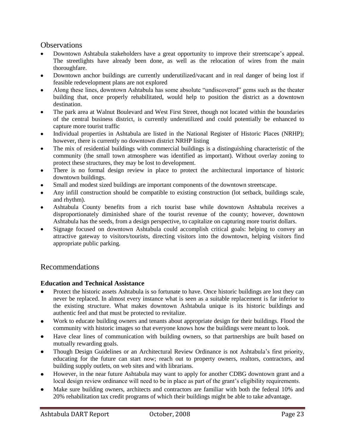### **Observations**

- Downtown Ashtabula stakeholders have a great opportunity to improve their streetscape"s appeal. The streetlights have already been done, as well as the relocation of wires from the main thoroughfare.
- Downtown anchor buildings are currently underutilized/vacant and in real danger of being lost if  $\bullet$ feasible redevelopment plans are not explored
- Along these lines, downtown Ashtabula has some absolute "undiscovered" gems such as the theater  $\bullet$ building that, once properly rehabilitated, would help to position the district as a downtown destination.
- The park area at Walnut Boulevard and West First Street, though not located within the boundaries of the central business district, is currently underutilized and could potentially be enhanced to capture more tourist traffic
- Individual properties in Ashtabula are listed in the National Register of Historic Places (NRHP); however, there is currently no downtown district NRHP listing
- The mix of residential buildings with commercial buildings is a distinguishing characteristic of the community (the small town atmosphere was identified as important). Without overlay zoning to protect these structures, they may be lost to development.
- There is no formal design review in place to protect the architectural importance of historic  $\bullet$ downtown buildings.
- Small and modest sized buildings are important components of the downtown streetscape.
- Any infill construction should be compatible to existing construction (lot setback, buildings scale, and rhythm).
- Ashtabula County benefits from a rich tourist base while downtown Ashtabula receives a disproportionately diminished share of the tourist revenue of the county; however, downtown Ashtabula has the seeds, from a design perspective, to capitalize on capturing more tourist dollars.
- Signage focused on downtown Ashtabula could accomplish critical goals: helping to convey an attractive gateway to visitors/tourists, directing visitors into the downtown, helping visitors find appropriate public parking.

# Recommendations

### **Education and Technical Assistance**

- Protect the historic assets Ashtabula is so fortunate to have. Once historic buildings are lost they can never be replaced. In almost every instance what is seen as a suitable replacement is far inferior to the existing structure. What makes downtown Ashtabula unique is its historic buildings and authentic feel and that must be protected to revitalize.
- Work to educate building owners and tenants about appropriate design for their buildings. Flood the  $\bullet$ community with historic images so that everyone knows how the buildings were meant to look.
- Have clear lines of communication with building owners, so that partnerships are built based on  $\bullet$ mutually rewarding goals.
- Though Design Guidelines or an Architectural Review Ordinance is not Ashtabula"s first priority,  $\bullet$ educating for the future can start now; reach out to property owners, realtors, contractors, and building supply outlets, on web sites and with librarians.
- However, in the near future Ashtabula may want to apply for another CDBG downtown grant and a  $\bullet$ local design review ordinance will need to be in place as part of the grant's eligibility requirements.
- Make sure building owners, architects and contractors are familiar with both the federal 10% and 20% rehabilitation tax credit programs of which their buildings might be able to take advantage.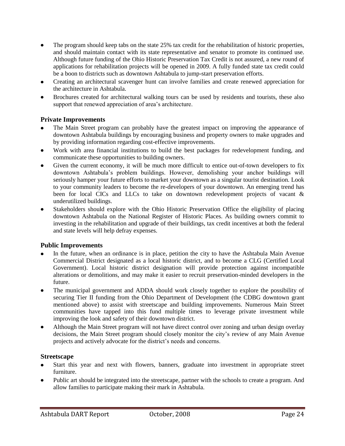- The program should keep tabs on the state 25% tax credit for the rehabilitation of historic properties, and should maintain contact with its state representative and senator to promote its continued use. Although future funding of the Ohio Historic Preservation Tax Credit is not assured, a new round of applications for rehabilitation projects will be opened in 2009. A fully funded state tax credit could be a boon to districts such as downtown Ashtabula to jump-start preservation efforts.
- Creating an architectural scavenger hunt can involve families and create renewed appreciation for the architecture in Ashtabula.
- Brochures created for architectural walking tours can be used by residents and tourists, these also support that renewed appreciation of area's architecture.

### **Private Improvements**

- The Main Street program can probably have the greatest impact on improving the appearance of downtown Ashtabula buildings by encouraging business and property owners to make upgrades and by providing information regarding cost-effective improvements.
- Work with area financial institutions to build the best packages for redevelopment funding, and  $\bullet$ communicate these opportunities to building owners.
- Given the current economy, it will be much more difficult to entice out-of-town developers to fix  $\bullet$ downtown Ashtabula"s problem buildings. However, demolishing your anchor buildings will seriously hamper your future efforts to market your downtown as a singular tourist destination. Look to your community leaders to become the re-developers of your downtown. An emerging trend has been for local CICs and LLCs to take on downtown redevelopment projects of vacant & underutilized buildings.
- Stakeholders should explore with the Ohio Historic Preservation Office the eligibility of placing  $\bullet$ downtown Ashtabula on the National Register of Historic Places. As building owners commit to investing in the rehabilitation and upgrade of their buildings, tax credit incentives at both the federal and state levels will help defray expenses.

### **Public Improvements**

- In the future, when an ordinance is in place, petition the city to have the Ashtabula Main Avenue Commercial District designated as a local historic district, and to become a CLG (Certified Local Government). Local historic district designation will provide protection against incompatible alterations or demolitions, and may make it easier to recruit preservation-minded developers in the future.
- The municipal government and ADDA should work closely together to explore the possibility of securing Tier II funding from the Ohio Department of Development (the CDBG downtown grant mentioned above) to assist with streetscape and building improvements. Numerous Main Street communities have tapped into this fund multiple times to leverage private investment while improving the look and safety of their downtown district.
- Although the Main Street program will not have direct control over zoning and urban design overlay  $\bullet$ decisions, the Main Street program should closely monitor the city's review of any Main Avenue projects and actively advocate for the district's needs and concerns.

### **Streetscape**

- Start this year and next with flowers, banners, graduate into investment in appropriate street furniture.
- $\bullet$ Public art should be integrated into the streetscape, partner with the schools to create a program. And allow families to participate making their mark in Ashtabula.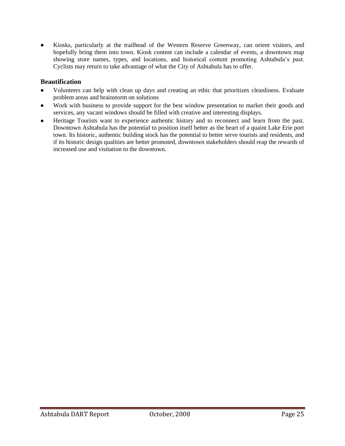Kiosks, particularly at the trailhead of the Western Reserve Greenway, can orient visitors, and  $\bullet$ hopefully bring them into town. Kiosk content can include a calendar of events, a downtown map showing store names, types, and locations, and historical content promoting Ashtabula"s past. Cyclists may return to take advantage of what the City of Ashtabula has to offer.

### **Beautification**

- Volunteers can help with clean up days and creating an ethic that prioritizes cleanliness. Evaluate problem areas and brainstorm on solutions
- Work with business to provide support for the best window presentation to market their goods and services, any vacant windows should be filled with creative and interesting displays.
- Heritage Tourists want to experience authentic history and to reconnect and learn from the past.  $\bullet$ Downtown Ashtabula has the potential to position itself better as the heart of a quaint Lake Erie port town. Its historic, authentic building stock has the potential to better serve tourists and residents, and if its historic design qualities are better promoted, downtown stakeholders should reap the rewards of increased use and visitation to the downtown.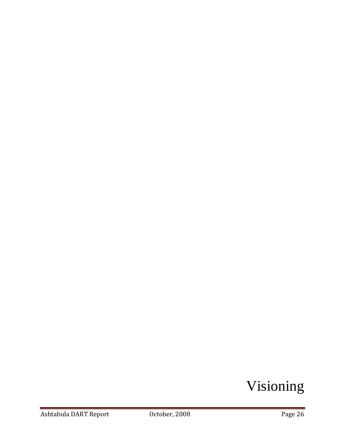# Visioning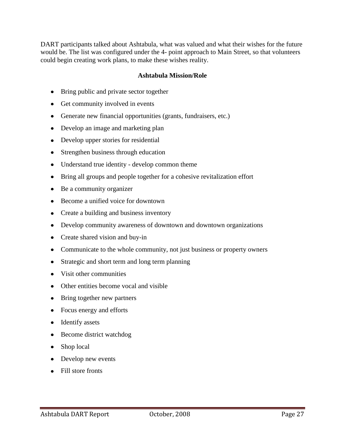DART participants talked about Ashtabula, what was valued and what their wishes for the future would be. The list was configured under the 4- point approach to Main Street, so that volunteers could begin creating work plans, to make these wishes reality.

# **Ashtabula Mission/Role**

- Bring public and private sector together
- Get community involved in events
- Generate new financial opportunities (grants, fundraisers, etc.)
- Develop an image and marketing plan
- Develop upper stories for residential
- Strengthen business through education
- Understand true identity develop common theme
- Bring all groups and people together for a cohesive revitalization effort
- Be a community organizer
- Become a unified voice for downtown
- Create a building and business inventory
- Develop community awareness of downtown and downtown organizations
- Create shared vision and buy-in
- Communicate to the whole community, not just business or property owners
- Strategic and short term and long term planning
- Visit other communities
- Other entities become vocal and visible
- Bring together new partners
- Focus energy and efforts
- Identify assets
- Become district watchdog
- Shop local
- Develop new events
- Fill store fronts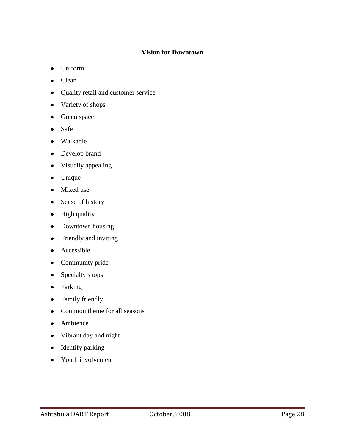### **Vision for Downtown**

- Uniform
- Clean
- Quality retail and customer service
- Variety of shops
- Green space
- Safe
- Walkable
- Develop brand
- Visually appealing
- Unique
- Mixed use
- Sense of history
- High quality
- Downtown housing
- Friendly and inviting
- Accessible
- Community pride
- Specialty shops
- Parking
- Family friendly
- Common theme for all seasons
- Ambience
- Vibrant day and night
- Identify parking
- Youth involvement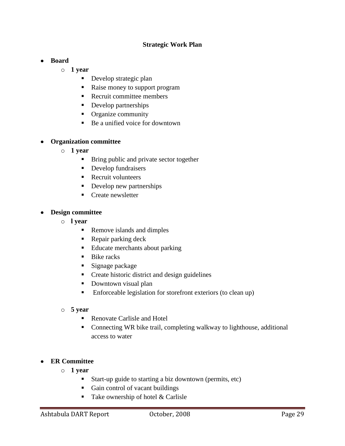# **Strategic Work Plan**

- **Board**
	- o **1 year**
		- Develop strategic plan
		- Raise money to support program
		- Recruit committee members
		- Develop partnerships
		- Organize community
		- Be a unified voice for downtown

### **Organization committee**

- o **1 year**
	- **Bring public and private sector together**
	- Develop fundraisers
	- **Recruit volunteers**
	- Develop new partnerships
	- Create newsletter

### **Design committee**

- o **l year**
	- Remove islands and dimples
	- Repair parking deck
	- Educate merchants about parking
	- **Bike racks**
	- **Signage package**
	- **•** Create historic district and design guidelines
	- Downtown visual plan
	- Enforceable legislation for storefront exteriors (to clean up)
- o **5 year**
	- Renovate Carlisle and Hotel
	- Connecting WR bike trail, completing walkway to lighthouse, additional access to water

# **ER Committee**

- o **1 year**
	- Start-up guide to starting a biz downtown (permits, etc)
	- Gain control of vacant buildings
	- $\blacksquare$  Take ownership of hotel & Carlisle